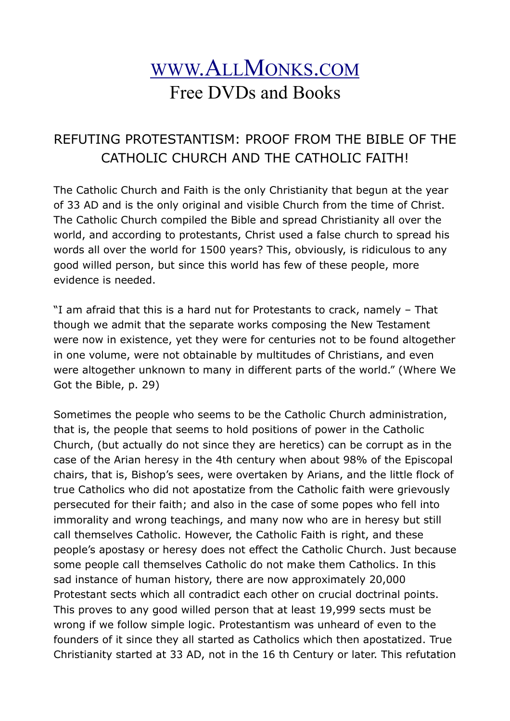# [WWW](http://www.allmonks.com/).ALLMONKS.COM Free DVDs and Books

## REFUTING PROTESTANTISM: PROOF FROM THE BIBLE OF THE CATHOLIC CHURCH AND THE CATHOLIC FAITH!

The Catholic Church and Faith is the only Christianity that begun at the year of 33 AD and is the only original and visible Church from the time of Christ. The Catholic Church compiled the Bible and spread Christianity all over the world, and according to protestants, Christ used a false church to spread his words all over the world for 1500 years? This, obviously, is ridiculous to any good willed person, but since this world has few of these people, more evidence is needed.

"I am afraid that this is a hard nut for Protestants to crack, namely – That though we admit that the separate works composing the New Testament were now in existence, yet they were for centuries not to be found altogether in one volume, were not obtainable by multitudes of Christians, and even were altogether unknown to many in different parts of the world." (Where We Got the Bible, p. 29)

Sometimes the people who seems to be the Catholic Church administration, that is, the people that seems to hold positions of power in the Catholic Church, (but actually do not since they are heretics) can be corrupt as in the case of the Arian heresy in the 4th century when about 98% of the Episcopal chairs, that is, Bishop's sees, were overtaken by Arians, and the little flock of true Catholics who did not apostatize from the Catholic faith were grievously persecuted for their faith; and also in the case of some popes who fell into immorality and wrong teachings, and many now who are in heresy but still call themselves Catholic. However, the Catholic Faith is right, and these people's apostasy or heresy does not effect the Catholic Church. Just because some people call themselves Catholic do not make them Catholics. In this sad instance of human history, there are now approximately 20,000 Protestant sects which all contradict each other on crucial doctrinal points. This proves to any good willed person that at least 19,999 sects must be wrong if we follow simple logic. Protestantism was unheard of even to the founders of it since they all started as Catholics which then apostatized. True Christianity started at 33 AD, not in the 16 th Century or later. This refutation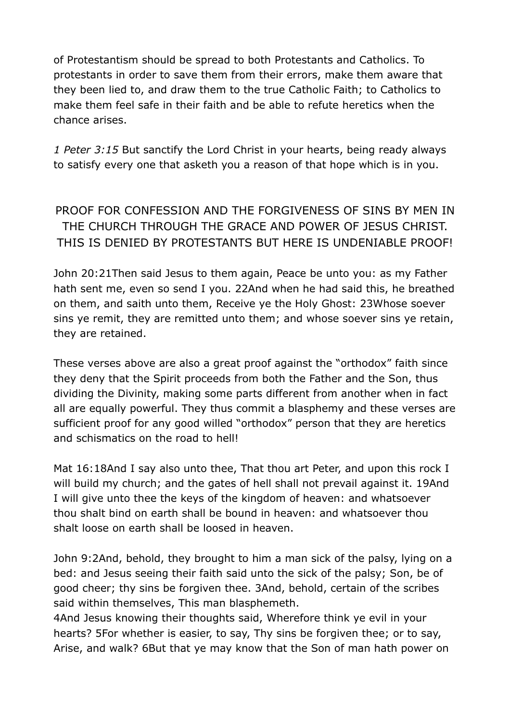of Protestantism should be spread to both Protestants and Catholics. To protestants in order to save them from their errors, make them aware that they been lied to, and draw them to the true Catholic Faith; to Catholics to make them feel safe in their faith and be able to refute heretics when the chance arises.

*1 Peter 3:15* But sanctify the Lord Christ in your hearts, being ready always to satisfy every one that asketh you a reason of that hope which is in you.

PROOF FOR CONFESSION AND THE FORGIVENESS OF SINS BY MEN IN THE CHURCH THROUGH THE GRACE AND POWER OF JESUS CHRIST. THIS IS DENIED BY PROTESTANTS BUT HERE IS UNDENIABLE PROOF!

John 20:21Then said Jesus to them again, Peace be unto you: as my Father hath sent me, even so send I you. 22And when he had said this, he breathed on them, and saith unto them, Receive ye the Holy Ghost: 23Whose soever sins ye remit, they are remitted unto them; and whose soever sins ye retain, they are retained.

These verses above are also a great proof against the "orthodox" faith since they deny that the Spirit proceeds from both the Father and the Son, thus dividing the Divinity, making some parts different from another when in fact all are equally powerful. They thus commit a blasphemy and these verses are sufficient proof for any good willed "orthodox" person that they are heretics and schismatics on the road to hell!

Mat 16:18And I say also unto thee, That thou art Peter, and upon this rock I will build my church; and the gates of hell shall not prevail against it. 19And I will give unto thee the keys of the kingdom of heaven: and whatsoever thou shalt bind on earth shall be bound in heaven: and whatsoever thou shalt loose on earth shall be loosed in heaven.

John 9:2And, behold, they brought to him a man sick of the palsy, lying on a bed: and Jesus seeing their faith said unto the sick of the palsy; Son, be of good cheer; thy sins be forgiven thee. 3And, behold, certain of the scribes said within themselves, This man blasphemeth.

4And Jesus knowing their thoughts said, Wherefore think ye evil in your hearts? 5For whether is easier, to say, Thy sins be forgiven thee; or to say, Arise, and walk? 6But that ye may know that the Son of man hath power on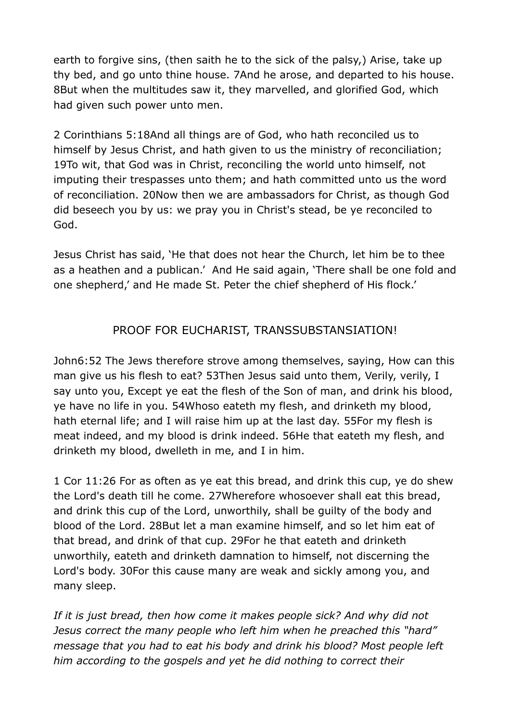earth to forgive sins, (then saith he to the sick of the palsy,) Arise, take up thy bed, and go unto thine house. 7And he arose, and departed to his house. 8But when the multitudes saw it, they marvelled, and glorified God, which had given such power unto men.

2 Corinthians 5:18And all things are of God, who hath reconciled us to himself by Jesus Christ, and hath given to us the ministry of reconciliation; 19To wit, that God was in Christ, reconciling the world unto himself, not imputing their trespasses unto them; and hath committed unto us the word of reconciliation. 20Now then we are ambassadors for Christ, as though God did beseech you by us: we pray you in Christ's stead, be ye reconciled to God.

Jesus Christ has said, 'He that does not hear the Church, let him be to thee as a heathen and a publican.' And He said again, 'There shall be one fold and one shepherd,' and He made St. Peter the chief shepherd of His flock.'

#### PROOF FOR EUCHARIST, TRANSSUBSTANSIATION!

John6:52 The Jews therefore strove among themselves, saying, How can this man give us his flesh to eat? 53Then Jesus said unto them, Verily, verily, I say unto you, Except ye eat the flesh of the Son of man, and drink his blood, ye have no life in you. 54Whoso eateth my flesh, and drinketh my blood, hath eternal life; and I will raise him up at the last day. 55For my flesh is meat indeed, and my blood is drink indeed. 56He that eateth my flesh, and drinketh my blood, dwelleth in me, and I in him.

1 Cor 11:26 For as often as ye eat this bread, and drink this cup, ye do shew the Lord's death till he come. 27Wherefore whosoever shall eat this bread, and drink this cup of the Lord, unworthily, shall be guilty of the body and blood of the Lord. 28But let a man examine himself, and so let him eat of that bread, and drink of that cup. 29For he that eateth and drinketh unworthily, eateth and drinketh damnation to himself, not discerning the Lord's body. 30For this cause many are weak and sickly among you, and many sleep.

*If it is just bread, then how come it makes people sick? And why did not Jesus correct the many people who left him when he preached this "hard" message that you had to eat his body and drink his blood? Most people left him according to the gospels and yet he did nothing to correct their*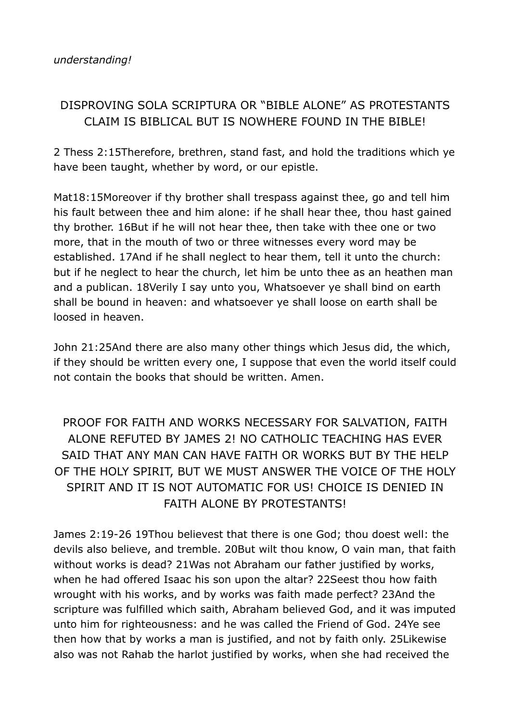### DISPROVING SOLA SCRIPTURA OR "BIBLE ALONE" AS PROTESTANTS CLAIM IS BIBLICAL BUT IS NOWHERE FOUND IN THE BIBLE!

2 Thess 2:15Therefore, brethren, stand fast, and hold the traditions which ye have been taught, whether by word, or our epistle.

Mat18:15Moreover if thy brother shall trespass against thee, go and tell him his fault between thee and him alone: if he shall hear thee, thou hast gained thy brother. 16But if he will not hear thee, then take with thee one or two more, that in the mouth of two or three witnesses every word may be established. 17And if he shall neglect to hear them, tell it unto the church: but if he neglect to hear the church, let him be unto thee as an heathen man and a publican. 18Verily I say unto you, Whatsoever ye shall bind on earth shall be bound in heaven: and whatsoever ye shall loose on earth shall be loosed in heaven.

John 21:25And there are also many other things which Jesus did, the which, if they should be written every one, I suppose that even the world itself could not contain the books that should be written. Amen.

## PROOF FOR FAITH AND WORKS NECESSARY FOR SALVATION, FAITH ALONE REFUTED BY JAMES 2! NO CATHOLIC TEACHING HAS EVER SAID THAT ANY MAN CAN HAVE FAITH OR WORKS BUT BY THE HELP OF THE HOLY SPIRIT, BUT WE MUST ANSWER THE VOICE OF THE HOLY SPIRIT AND IT IS NOT AUTOMATIC FOR US! CHOICE IS DENIED IN FAITH ALONE BY PROTESTANTS!

James 2:19-26 19Thou believest that there is one God; thou doest well: the devils also believe, and tremble. 20But wilt thou know, O vain man, that faith without works is dead? 21Was not Abraham our father justified by works, when he had offered Isaac his son upon the altar? 22Seest thou how faith wrought with his works, and by works was faith made perfect? 23And the scripture was fulfilled which saith, Abraham believed God, and it was imputed unto him for righteousness: and he was called the Friend of God. 24Ye see then how that by works a man is justified, and not by faith only. 25Likewise also was not Rahab the harlot justified by works, when she had received the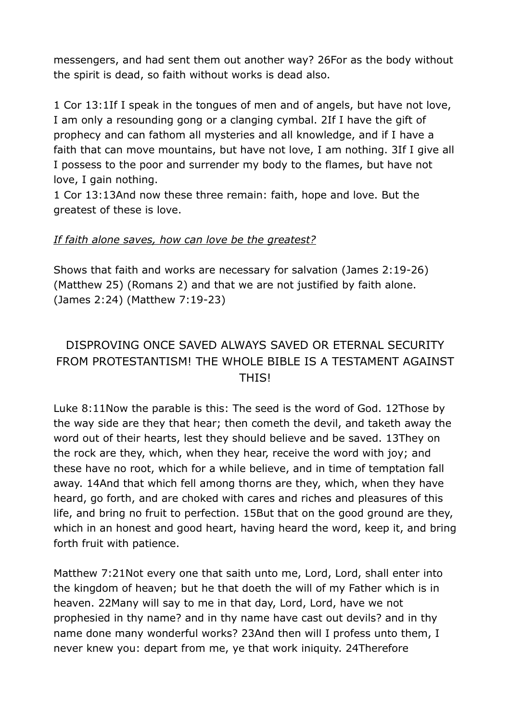messengers, and had sent them out another way? 26For as the body without the spirit is dead, so faith without works is dead also.

1 Cor 13:1If I speak in the tongues of men and of angels, but have not love, I am only a resounding gong or a clanging cymbal. 2If I have the gift of prophecy and can fathom all mysteries and all knowledge, and if I have a faith that can move mountains, but have not love, I am nothing. 3If I give all I possess to the poor and surrender my body to the flames, but have not love, I gain nothing.

1 Cor 13:13And now these three remain: faith, hope and love. But the greatest of these is love.

#### *If faith alone saves, how can love be the greatest?*

Shows that faith and works are necessary for salvation (James 2:19-26) (Matthew 25) (Romans 2) and that we are not justified by faith alone. (James 2:24) (Matthew 7:19-23)

## DISPROVING ONCE SAVED ALWAYS SAVED OR ETERNAL SECURITY FROM PROTESTANTISM! THE WHOLE BIBLE IS A TESTAMENT AGAINST THIS!

Luke 8:11Now the parable is this: The seed is the word of God. 12Those by the way side are they that hear; then cometh the devil, and taketh away the word out of their hearts, lest they should believe and be saved. 13They on the rock are they, which, when they hear, receive the word with joy; and these have no root, which for a while believe, and in time of temptation fall away. 14And that which fell among thorns are they, which, when they have heard, go forth, and are choked with cares and riches and pleasures of this life, and bring no fruit to perfection. 15But that on the good ground are they, which in an honest and good heart, having heard the word, keep it, and bring forth fruit with patience.

Matthew 7:21Not every one that saith unto me, Lord, Lord, shall enter into the kingdom of heaven; but he that doeth the will of my Father which is in heaven. 22Many will say to me in that day, Lord, Lord, have we not prophesied in thy name? and in thy name have cast out devils? and in thy name done many wonderful works? 23And then will I profess unto them, I never knew you: depart from me, ye that work iniquity. 24Therefore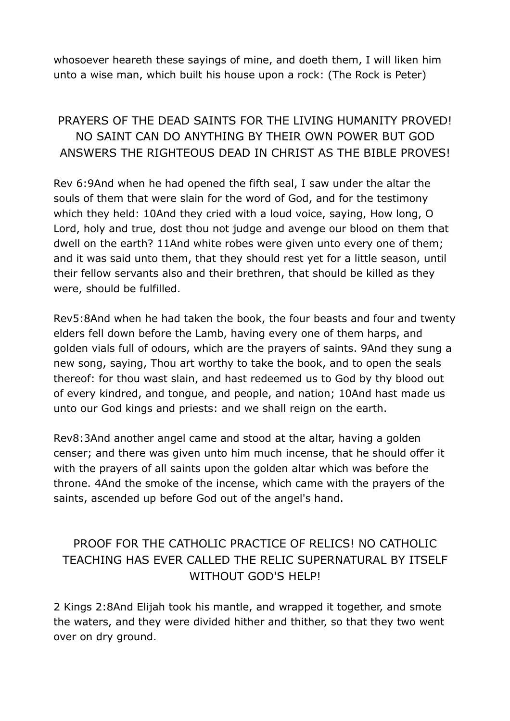whosoever heareth these sayings of mine, and doeth them, I will liken him unto a wise man, which built his house upon a rock: (The Rock is Peter)

## PRAYERS OF THE DEAD SAINTS FOR THE LIVING HUMANITY PROVED! NO SAINT CAN DO ANYTHING BY THEIR OWN POWER BUT GOD ANSWERS THE RIGHTEOUS DEAD IN CHRIST AS THE BIBLE PROVES!

Rev 6:9And when he had opened the fifth seal, I saw under the altar the souls of them that were slain for the word of God, and for the testimony which they held: 10And they cried with a loud voice, saying, How long, O Lord, holy and true, dost thou not judge and avenge our blood on them that dwell on the earth? 11And white robes were given unto every one of them; and it was said unto them, that they should rest yet for a little season, until their fellow servants also and their brethren, that should be killed as they were, should be fulfilled.

Rev5:8And when he had taken the book, the four beasts and four and twenty elders fell down before the Lamb, having every one of them harps, and golden vials full of odours, which are the prayers of saints. 9And they sung a new song, saying, Thou art worthy to take the book, and to open the seals thereof: for thou wast slain, and hast redeemed us to God by thy blood out of every kindred, and tongue, and people, and nation; 10And hast made us unto our God kings and priests: and we shall reign on the earth.

Rev8:3And another angel came and stood at the altar, having a golden censer; and there was given unto him much incense, that he should offer it with the prayers of all saints upon the golden altar which was before the throne. 4And the smoke of the incense, which came with the prayers of the saints, ascended up before God out of the angel's hand.

### PROOF FOR THE CATHOLIC PRACTICE OF RELICS! NO CATHOLIC TEACHING HAS EVER CALLED THE RELIC SUPERNATURAL BY ITSELF WITHOUT GOD'S HELP!

2 Kings 2:8And Elijah took his mantle, and wrapped it together, and smote the waters, and they were divided hither and thither, so that they two went over on dry ground.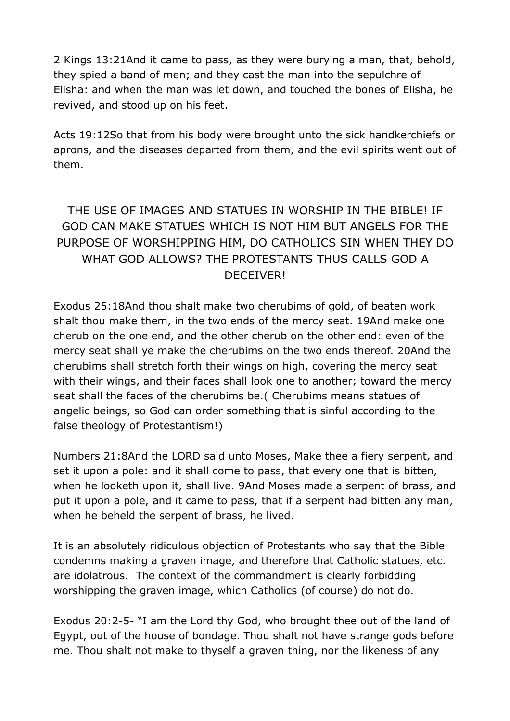2 Kings 13:21And it came to pass, as they were burying a man, that, behold, they spied a band of men; and they cast the man into the sepulchre of Elisha: and when the man was let down, and touched the bones of Elisha, he revived, and stood up on his feet.

Acts 19:12So that from his body were brought unto the sick handkerchiefs or aprons, and the diseases departed from them, and the evil spirits went out of them.

## THE USE OF IMAGES AND STATUES IN WORSHIP IN THE BIBLE! IF GOD CAN MAKE STATUES WHICH IS NOT HIM BUT ANGELS FOR THE PURPOSE OF WORSHIPPING HIM, DO CATHOLICS SIN WHEN THEY DO WHAT GOD ALLOWS? THE PROTESTANTS THUS CALLS GOD A DECEIVER!

Exodus 25:18And thou shalt make two cherubims of gold, of beaten work shalt thou make them, in the two ends of the mercy seat. 19And make one cherub on the one end, and the other cherub on the other end: even of the mercy seat shall ye make the cherubims on the two ends thereof. 20And the cherubims shall stretch forth their wings on high, covering the mercy seat with their wings, and their faces shall look one to another; toward the mercy seat shall the faces of the cherubims be.( Cherubims means statues of angelic beings, so God can order something that is sinful according to the false theology of Protestantism!)

Numbers 21:8And the LORD said unto Moses, Make thee a fiery serpent, and set it upon a pole: and it shall come to pass, that every one that is bitten, when he looketh upon it, shall live. 9And Moses made a serpent of brass, and put it upon a pole, and it came to pass, that if a serpent had bitten any man, when he beheld the serpent of brass, he lived.

It is an absolutely ridiculous objection of Protestants who say that the Bible condemns making a graven image, and therefore that Catholic statues, etc. are idolatrous. The context of the commandment is clearly forbidding worshipping the graven image, which Catholics (of course) do not do.

Exodus 20:2-5- "I am the Lord thy God, who brought thee out of the land of Egypt, out of the house of bondage. Thou shalt not have strange gods before me. Thou shalt not make to thyself a graven thing, nor the likeness of any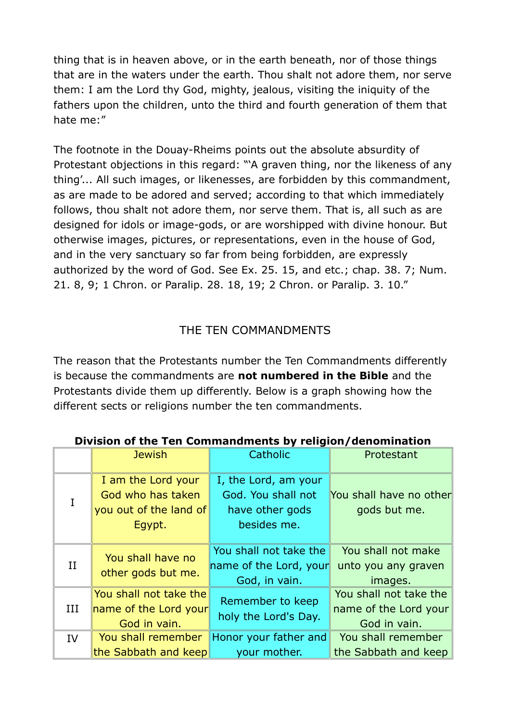thing that is in heaven above, or in the earth beneath, nor of those things that are in the waters under the earth. Thou shalt not adore them, nor serve them: I am the Lord thy God, mighty, jealous, visiting the iniquity of the fathers upon the children, unto the third and fourth generation of them that hate me:"

The footnote in the Douay-Rheims points out the absolute absurdity of Protestant objections in this regard: "'A graven thing, nor the likeness of any thing'... All such images, or likenesses, are forbidden by this commandment, as are made to be adored and served; according to that which immediately follows, thou shalt not adore them, nor serve them. That is, all such as are designed for idols or image-gods, or are worshipped with divine honour. But otherwise images, pictures, or representations, even in the house of God, and in the very sanctuary so far from being forbidden, are expressly authorized by the word of God. See Ex. 25. 15, and etc.; chap. 38. 7; Num. 21. 8, 9; 1 Chron. or Paralip. 28. 18, 19; 2 Chron. or Paralip. 3. 10."

#### THE TEN COMMANDMENTS

The reason that the Protestants number the Ten Commandments differently is because the commandments are **not numbered in the Bible** and the Protestants divide them up differently. Below is a graph showing how the different sects or religions number the ten commandments.

|     | <b>Jewish</b>                                                               | Catholic                                                                     | Protestant                                                      |  |  |  |
|-----|-----------------------------------------------------------------------------|------------------------------------------------------------------------------|-----------------------------------------------------------------|--|--|--|
|     | I am the Lord your<br>God who has taken<br>you out of the land of<br>Egypt. | I, the Lord, am your<br>God. You shall not<br>have other gods<br>besides me. | You shall have no other<br>gods but me.                         |  |  |  |
| II  | You shall have no<br>other gods but me.                                     | You shall not take the<br>name of the Lord, your<br>God, in vain.            | You shall not make<br>unto you any graven<br>images.            |  |  |  |
| III | You shall not take the<br>name of the Lord your<br>God in vain.             | Remember to keep<br>holy the Lord's Day.                                     | You shall not take the<br>name of the Lord your<br>God in vain. |  |  |  |
| IV  | You shall remember<br>the Sabbath and keep                                  | Honor your father and<br>your mother.                                        | You shall remember<br>the Sabbath and keep                      |  |  |  |
|     |                                                                             |                                                                              |                                                                 |  |  |  |

#### **Division of the Ten Commandments by religion/denomination**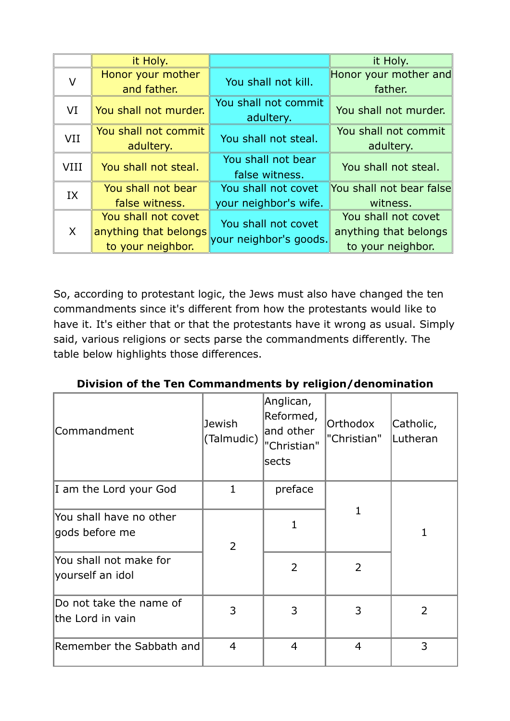|             | it Holy.                                                          |                                               | it Holy.                                                          |  |
|-------------|-------------------------------------------------------------------|-----------------------------------------------|-------------------------------------------------------------------|--|
| V           | Honor your mother<br>and father.                                  | You shall not kill.                           | Honor your mother and<br>father.                                  |  |
| VI          | You shall not murder.                                             | You shall not commit<br>adultery.             | You shall not murder.                                             |  |
| <b>VII</b>  | You shall not commit<br>adultery.                                 | You shall not steal.                          | You shall not commit<br>adultery.                                 |  |
| <b>VIII</b> | You shall not steal.                                              | You shall not bear<br>false witness.          | You shall not steal.                                              |  |
| IX          | You shall not bear<br>false witness.                              | You shall not covet<br>your neighbor's wife.  | You shall not bear false<br>witness.                              |  |
| X           | You shall not covet<br>anything that belongs<br>to your neighbor. | You shall not covet<br>your neighbor's goods. | You shall not covet<br>anything that belongs<br>to your neighbor. |  |

So, according to protestant logic, the Jews must also have changed the ten commandments since it's different from how the protestants would like to have it. It's either that or that the protestants have it wrong as usual. Simply said, various religions or sects parse the commandments differently. The table below highlights those differences.

| Commandment                                 | Jewish<br>(Talmudic) | Anglican,<br>Reformed,<br>and other<br>"Christian"<br>sects | Orthodox<br>"Christian" | Catholic,<br>Lutheran |
|---------------------------------------------|----------------------|-------------------------------------------------------------|-------------------------|-----------------------|
| I am the Lord your God                      | 1                    | preface                                                     |                         |                       |
| You shall have no other<br>gods before me   | $\overline{2}$       | $\mathbf{1}$                                                | 1                       | 1                     |
| You shall not make for<br>yourself an idol  |                      | $\overline{2}$                                              | $\overline{2}$          |                       |
| Do not take the name of<br>the Lord in vain | 3                    | 3                                                           | 3                       | $\overline{2}$        |
| Remember the Sabbath and                    | $\overline{4}$       | $\overline{4}$                                              | $\overline{4}$          | 3                     |

**Division of the Ten Commandments by religion/denomination**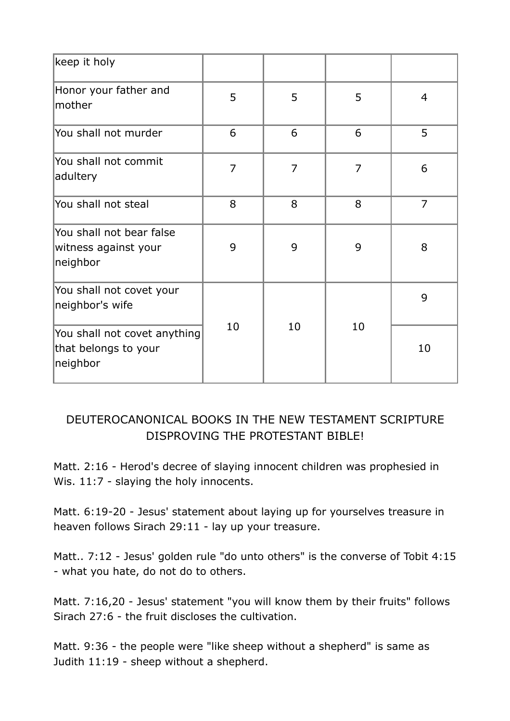| keep it holy                                                     |                |                |                |                |
|------------------------------------------------------------------|----------------|----------------|----------------|----------------|
| Honor your father and<br>mother                                  | 5              | 5              | 5              | $\overline{4}$ |
| You shall not murder                                             | 6              | 6              | 6              | 5              |
| You shall not commit<br>adultery                                 | $\overline{7}$ | $\overline{7}$ | $\overline{7}$ | 6              |
| You shall not steal                                              | 8              | 8              | 8              | $\overline{7}$ |
| You shall not bear false<br>witness against your<br>neighbor     | 9              | 9              | 9              | 8              |
| You shall not covet your<br>neighbor's wife                      |                |                |                | 9              |
| You shall not covet anything<br>that belongs to your<br>neighbor | 10             | 10             | 10             | 10             |

#### DEUTEROCANONICAL BOOKS IN THE NEW TESTAMENT SCRIPTURE DISPROVING THE PROTESTANT BIBLE!

Matt. 2:16 - Herod's decree of slaying innocent children was prophesied in Wis. 11:7 - slaying the holy innocents.

Matt. 6:19-20 - Jesus' statement about laying up for yourselves treasure in heaven follows Sirach 29:11 - lay up your treasure.

Matt.. 7:12 - Jesus' golden rule "do unto others" is the converse of Tobit 4:15 - what you hate, do not do to others.

Matt. 7:16,20 - Jesus' statement "you will know them by their fruits" follows Sirach 27:6 - the fruit discloses the cultivation.

Matt. 9:36 - the people were "like sheep without a shepherd" is same as Judith 11:19 - sheep without a shepherd.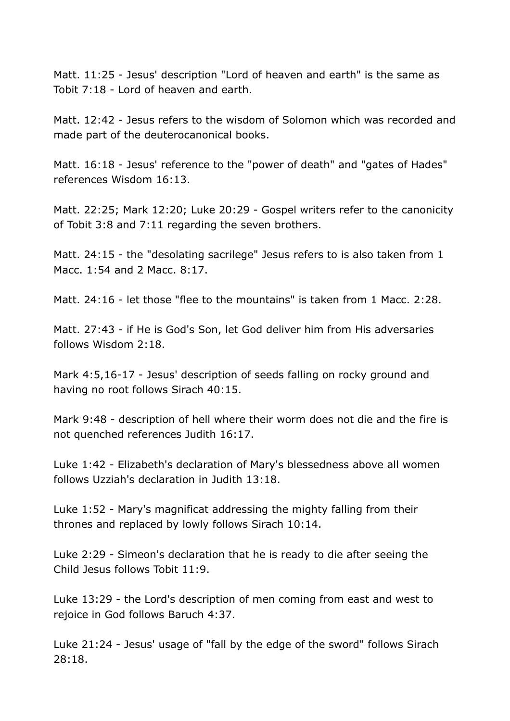Matt. 11:25 - Jesus' description "Lord of heaven and earth" is the same as Tobit 7:18 - Lord of heaven and earth.

Matt. 12:42 - Jesus refers to the wisdom of Solomon which was recorded and made part of the deuterocanonical books.

Matt. 16:18 - Jesus' reference to the "power of death" and "gates of Hades" references Wisdom 16:13.

Matt. 22:25; Mark 12:20; Luke 20:29 - Gospel writers refer to the canonicity of Tobit 3:8 and 7:11 regarding the seven brothers.

Matt. 24:15 - the "desolating sacrilege" Jesus refers to is also taken from 1 Macc. 1:54 and 2 Macc. 8:17.

Matt. 24:16 - let those "flee to the mountains" is taken from 1 Macc. 2:28.

Matt. 27:43 - if He is God's Son, let God deliver him from His adversaries follows Wisdom 2:18.

Mark 4:5,16-17 - Jesus' description of seeds falling on rocky ground and having no root follows Sirach 40:15.

Mark 9:48 - description of hell where their worm does not die and the fire is not quenched references Judith 16:17.

Luke 1:42 - Elizabeth's declaration of Mary's blessedness above all women follows Uzziah's declaration in Judith 13:18.

Luke 1:52 - Mary's magnificat addressing the mighty falling from their thrones and replaced by lowly follows Sirach 10:14.

Luke 2:29 - Simeon's declaration that he is ready to die after seeing the Child Jesus follows Tobit 11:9.

Luke 13:29 - the Lord's description of men coming from east and west to rejoice in God follows Baruch 4:37.

Luke 21:24 - Jesus' usage of "fall by the edge of the sword" follows Sirach 28:18.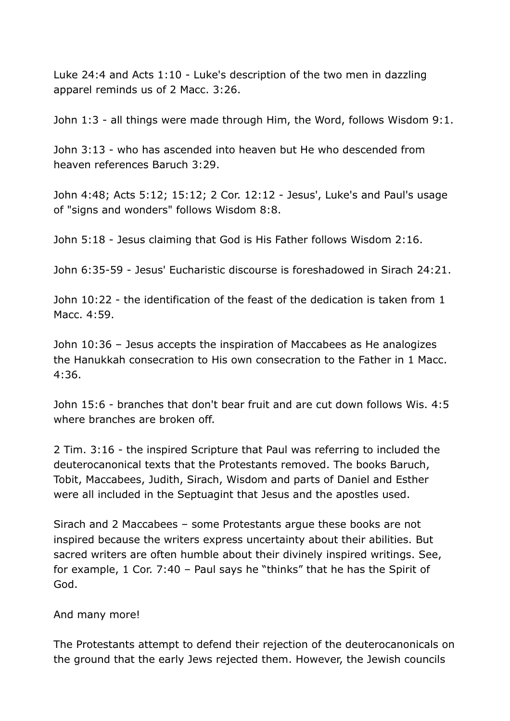Luke 24:4 and Acts 1:10 - Luke's description of the two men in dazzling apparel reminds us of 2 Macc. 3:26.

John 1:3 - all things were made through Him, the Word, follows Wisdom 9:1.

John 3:13 - who has ascended into heaven but He who descended from heaven references Baruch 3:29.

John 4:48; Acts 5:12; 15:12; 2 Cor. 12:12 - Jesus', Luke's and Paul's usage of "signs and wonders" follows Wisdom 8:8.

John 5:18 - Jesus claiming that God is His Father follows Wisdom 2:16.

John 6:35-59 - Jesus' Eucharistic discourse is foreshadowed in Sirach 24:21.

John 10:22 - the identification of the feast of the dedication is taken from 1 Macc. 4:59.

John 10:36 – Jesus accepts the inspiration of Maccabees as He analogizes the Hanukkah consecration to His own consecration to the Father in 1 Macc. 4:36.

John 15:6 - branches that don't bear fruit and are cut down follows Wis. 4:5 where branches are broken off.

2 Tim. 3:16 - the inspired Scripture that Paul was referring to included the deuterocanonical texts that the Protestants removed. The books Baruch, Tobit, Maccabees, Judith, Sirach, Wisdom and parts of Daniel and Esther were all included in the Septuagint that Jesus and the apostles used.

Sirach and 2 Maccabees – some Protestants argue these books are not inspired because the writers express uncertainty about their abilities. But sacred writers are often humble about their divinely inspired writings. See, for example, 1 Cor. 7:40 – Paul says he "thinks" that he has the Spirit of God.

#### And many more!

The Protestants attempt to defend their rejection of the deuterocanonicals on the ground that the early Jews rejected them. However, the Jewish councils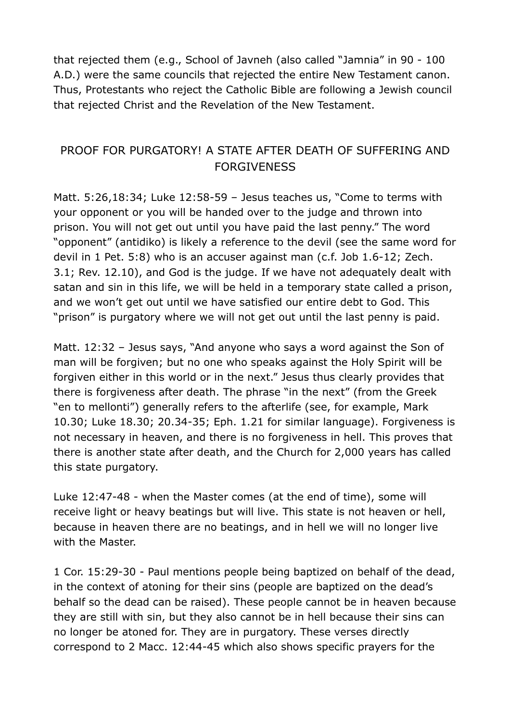that rejected them (e.g., School of Javneh (also called "Jamnia" in 90 - 100 A.D.) were the same councils that rejected the entire New Testament canon. Thus, Protestants who reject the Catholic Bible are following a Jewish council that rejected Christ and the Revelation of the New Testament.

#### PROOF FOR PURGATORY! A STATE AFTER DEATH OF SUFFERING AND **FORGIVENESS**

Matt. 5:26,18:34; Luke 12:58-59 – Jesus teaches us, "Come to terms with your opponent or you will be handed over to the judge and thrown into prison. You will not get out until you have paid the last penny." The word "opponent" (antidiko) is likely a reference to the devil (see the same word for devil in 1 Pet. 5:8) who is an accuser against man (c.f. Job 1.6-12; Zech. 3.1; Rev. 12.10), and God is the judge. If we have not adequately dealt with satan and sin in this life, we will be held in a temporary state called a prison, and we won't get out until we have satisfied our entire debt to God. This "prison" is purgatory where we will not get out until the last penny is paid.

Matt. 12:32 – Jesus says, "And anyone who says a word against the Son of man will be forgiven; but no one who speaks against the Holy Spirit will be forgiven either in this world or in the next." Jesus thus clearly provides that there is forgiveness after death. The phrase "in the next" (from the Greek "en to mellonti") generally refers to the afterlife (see, for example, Mark 10.30; Luke 18.30; 20.34-35; Eph. 1.21 for similar language). Forgiveness is not necessary in heaven, and there is no forgiveness in hell. This proves that there is another state after death, and the Church for 2,000 years has called this state purgatory.

Luke 12:47-48 - when the Master comes (at the end of time), some will receive light or heavy beatings but will live. This state is not heaven or hell, because in heaven there are no beatings, and in hell we will no longer live with the Master.

1 Cor. 15:29-30 - Paul mentions people being baptized on behalf of the dead, in the context of atoning for their sins (people are baptized on the dead's behalf so the dead can be raised). These people cannot be in heaven because they are still with sin, but they also cannot be in hell because their sins can no longer be atoned for. They are in purgatory. These verses directly correspond to 2 Macc. 12:44-45 which also shows specific prayers for the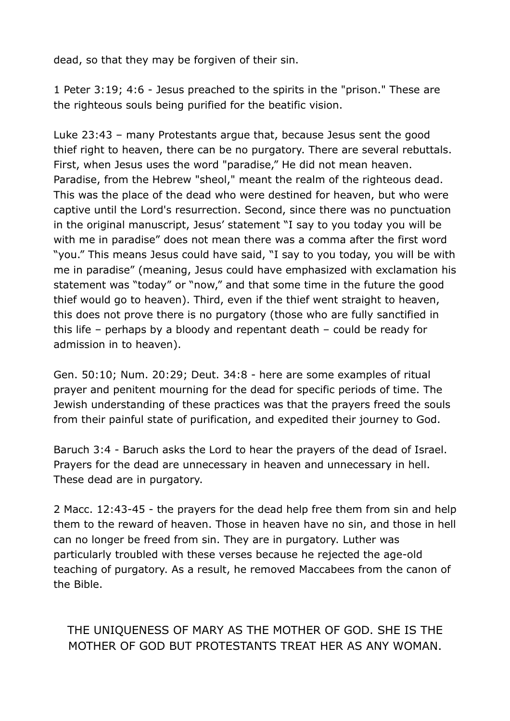dead, so that they may be forgiven of their sin.

1 Peter 3:19; 4:6 - Jesus preached to the spirits in the "prison." These are the righteous souls being purified for the beatific vision.

Luke 23:43 – many Protestants argue that, because Jesus sent the good thief right to heaven, there can be no purgatory. There are several rebuttals. First, when Jesus uses the word "paradise," He did not mean heaven. Paradise, from the Hebrew "sheol," meant the realm of the righteous dead. This was the place of the dead who were destined for heaven, but who were captive until the Lord's resurrection. Second, since there was no punctuation in the original manuscript, Jesus' statement "I say to you today you will be with me in paradise" does not mean there was a comma after the first word "you." This means Jesus could have said, "I say to you today, you will be with me in paradise" (meaning, Jesus could have emphasized with exclamation his statement was "today" or "now," and that some time in the future the good thief would go to heaven). Third, even if the thief went straight to heaven, this does not prove there is no purgatory (those who are fully sanctified in this life – perhaps by a bloody and repentant death – could be ready for admission in to heaven).

Gen. 50:10; Num. 20:29; Deut. 34:8 - here are some examples of ritual prayer and penitent mourning for the dead for specific periods of time. The Jewish understanding of these practices was that the prayers freed the souls from their painful state of purification, and expedited their journey to God.

Baruch 3:4 - Baruch asks the Lord to hear the prayers of the dead of Israel. Prayers for the dead are unnecessary in heaven and unnecessary in hell. These dead are in purgatory.

2 Macc. 12:43-45 - the prayers for the dead help free them from sin and help them to the reward of heaven. Those in heaven have no sin, and those in hell can no longer be freed from sin. They are in purgatory. Luther was particularly troubled with these verses because he rejected the age-old teaching of purgatory. As a result, he removed Maccabees from the canon of the Bible.

THE UNIQUENESS OF MARY AS THE MOTHER OF GOD. SHE IS THE MOTHER OF GOD BUT PROTESTANTS TREAT HER AS ANY WOMAN.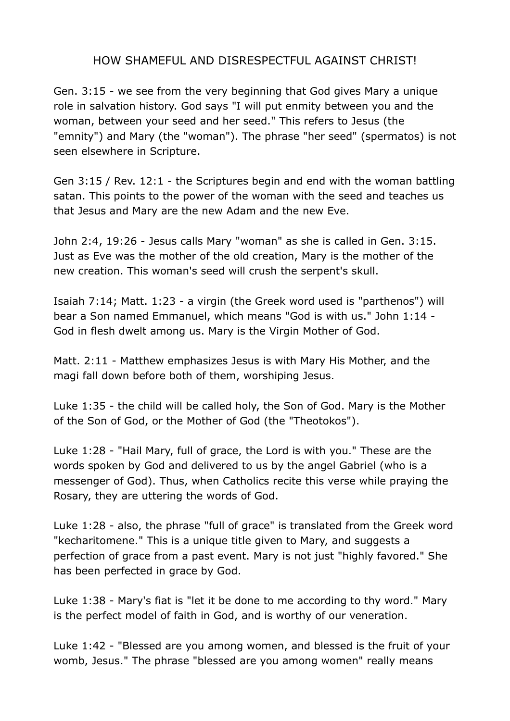#### HOW SHAMEFUL AND DISRESPECTFUL AGAINST CHRIST!

Gen. 3:15 - we see from the very beginning that God gives Mary a unique role in salvation history. God says "I will put enmity between you and the woman, between your seed and her seed." This refers to Jesus (the "emnity") and Mary (the "woman"). The phrase "her seed" (spermatos) is not seen elsewhere in Scripture.

Gen 3:15 / Rev. 12:1 - the Scriptures begin and end with the woman battling satan. This points to the power of the woman with the seed and teaches us that Jesus and Mary are the new Adam and the new Eve.

John 2:4, 19:26 - Jesus calls Mary "woman" as she is called in Gen. 3:15. Just as Eve was the mother of the old creation, Mary is the mother of the new creation. This woman's seed will crush the serpent's skull.

Isaiah 7:14; Matt. 1:23 - a virgin (the Greek word used is "parthenos") will bear a Son named Emmanuel, which means "God is with us." John 1:14 - God in flesh dwelt among us. Mary is the Virgin Mother of God.

Matt. 2:11 - Matthew emphasizes Jesus is with Mary His Mother, and the magi fall down before both of them, worshiping Jesus.

Luke 1:35 - the child will be called holy, the Son of God. Mary is the Mother of the Son of God, or the Mother of God (the "Theotokos").

Luke 1:28 - "Hail Mary, full of grace, the Lord is with you." These are the words spoken by God and delivered to us by the angel Gabriel (who is a messenger of God). Thus, when Catholics recite this verse while praying the Rosary, they are uttering the words of God.

Luke 1:28 - also, the phrase "full of grace" is translated from the Greek word "kecharitomene." This is a unique title given to Mary, and suggests a perfection of grace from a past event. Mary is not just "highly favored." She has been perfected in grace by God.

Luke 1:38 - Mary's fiat is "let it be done to me according to thy word." Mary is the perfect model of faith in God, and is worthy of our veneration.

Luke 1:42 - "Blessed are you among women, and blessed is the fruit of your womb, Jesus." The phrase "blessed are you among women" really means